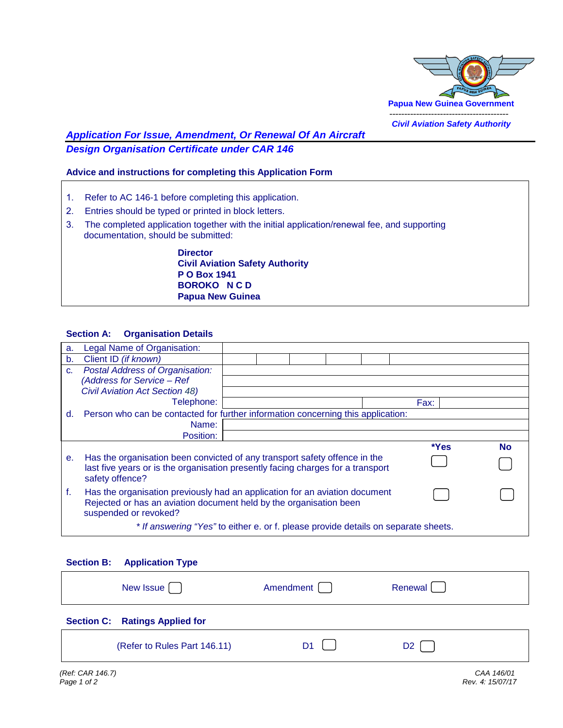

# *Application For Issue, Amendment, Or Renewal Of An Aircraft Design Organisation Certificate under CAR 146*

## **Advice and instructions for completing this Application Form**

- 1. Refer to AC 146-1 before completing this application.
- 2. Entries should be typed or printed in block letters.
- 3. The completed application together with the initial application/renewal fee, and supporting documentation, should be submitted:

 **Director Civil Aviation Safety Authority P O Box 1941 BOROKO N C D Papua New Guinea**

#### **Section A: Organisation Details**

| a.             | Legal Name of Organisation:                                                        |  |  |      |      |           |
|----------------|------------------------------------------------------------------------------------|--|--|------|------|-----------|
| b.             | Client ID (if known)                                                               |  |  |      |      |           |
| C.             | <b>Postal Address of Organisation:</b>                                             |  |  |      |      |           |
|                | (Address for Service - Ref                                                         |  |  |      |      |           |
|                | <b>Civil Aviation Act Section 48)</b>                                              |  |  |      |      |           |
|                | Telephone:                                                                         |  |  | Fax: |      |           |
| d.             | Person who can be contacted for further information concerning this application:   |  |  |      |      |           |
|                | Name:                                                                              |  |  |      |      |           |
|                | Position:                                                                          |  |  |      |      |           |
|                |                                                                                    |  |  |      |      |           |
|                |                                                                                    |  |  |      | *Yes | <b>No</b> |
| e <sub>1</sub> | Has the organisation been convicted of any transport safety offence in the         |  |  |      |      |           |
|                | last five years or is the organisation presently facing charges for a transport    |  |  |      |      |           |
|                | safety offence?                                                                    |  |  |      |      |           |
| f.             | Has the organisation previously had an application for an aviation document        |  |  |      |      |           |
|                | Rejected or has an aviation document held by the organisation been                 |  |  |      |      |           |
|                | suspended or revoked?                                                              |  |  |      |      |           |
|                | * If answering "Yes" to either e. or f. please provide details on separate sheets. |  |  |      |      |           |

| <b>Section B:</b> | <b>Application Type</b>               |                |         |  |
|-------------------|---------------------------------------|----------------|---------|--|
|                   | New Issue [ ]                         | Amendment      | Renewal |  |
|                   | <b>Section C: Ratings Applied for</b> |                |         |  |
|                   | (Refer to Rules Part 146.11)          | D <sub>1</sub> | D2.     |  |
|                   |                                       |                |         |  |